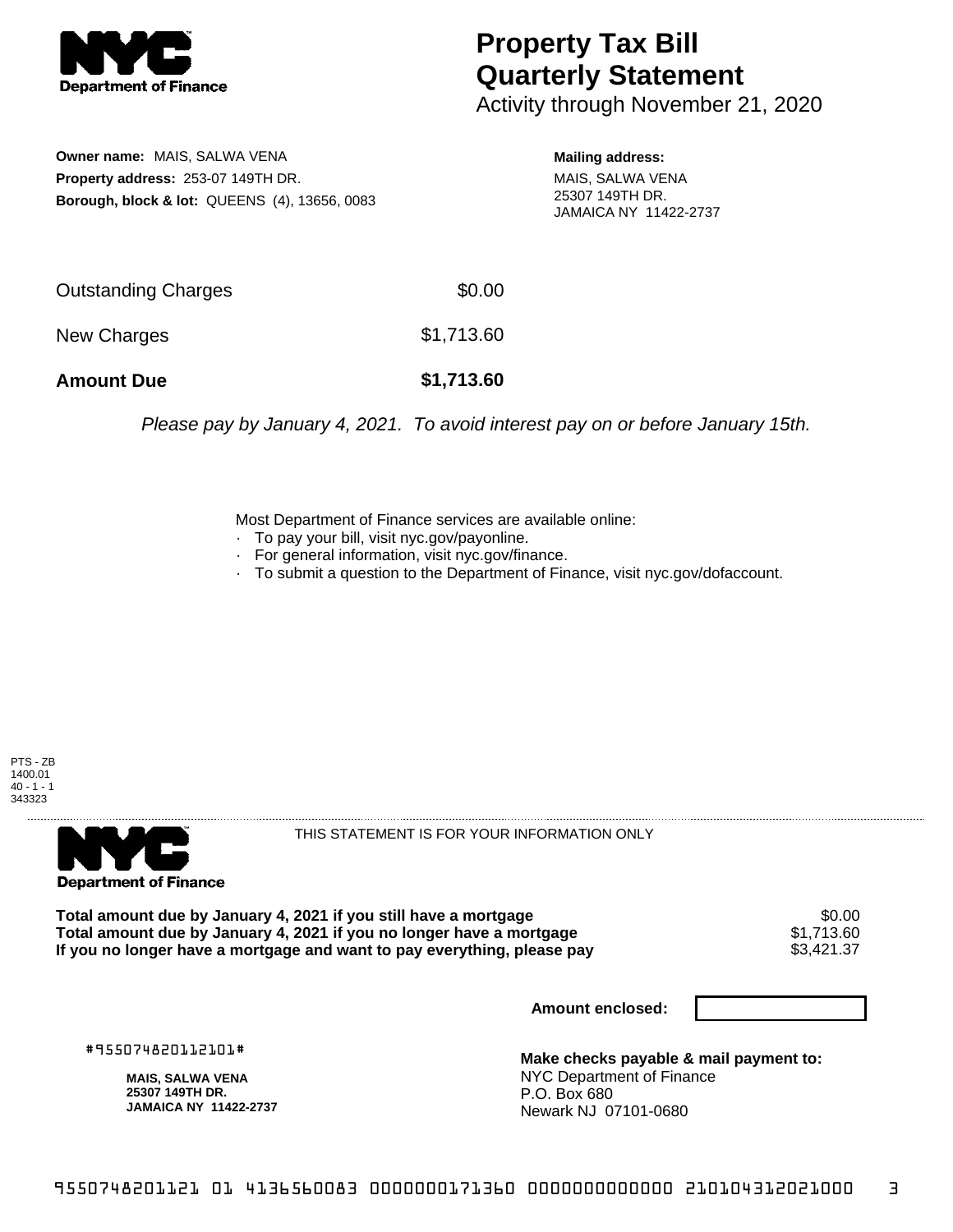

## **Property Tax Bill Quarterly Statement**

Activity through November 21, 2020

**Owner name:** MAIS, SALWA VENA **Property address:** 253-07 149TH DR. **Borough, block & lot:** QUEENS (4), 13656, 0083 **Mailing address:**

MAIS, SALWA VENA 25307 149TH DR. JAMAICA NY 11422-2737

| <b>Amount Due</b>   | \$1,713.60 |
|---------------------|------------|
| New Charges         | \$1,713.60 |
| Outstanding Charges | \$0.00     |

Please pay by January 4, 2021. To avoid interest pay on or before January 15th.

Most Department of Finance services are available online:

- · To pay your bill, visit nyc.gov/payonline.
- For general information, visit nyc.gov/finance.
- · To submit a question to the Department of Finance, visit nyc.gov/dofaccount.

PTS - ZB 1400.01  $40 - 1 - 1$ 343323



THIS STATEMENT IS FOR YOUR INFORMATION ONLY

Total amount due by January 4, 2021 if you still have a mortgage \$0.00<br>Total amount due by January 4, 2021 if you no longer have a mortgage \$1.713.60 **Total amount due by January 4, 2021 if you no longer have a mortgage**  $$1,713.60$ **<br>If you no longer have a mortgage and want to pay everything, please pay <b>show that the summan set of the s** If you no longer have a mortgage and want to pay everything, please pay

**Amount enclosed:**

#955074820112101#

**MAIS, SALWA VENA 25307 149TH DR. JAMAICA NY 11422-2737**

**Make checks payable & mail payment to:** NYC Department of Finance P.O. Box 680 Newark NJ 07101-0680